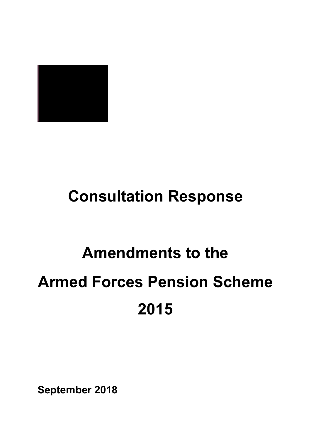

## **Consultation Response**

# **Amendments to the Armed Forces Pension Scheme 2015**

**September 2018**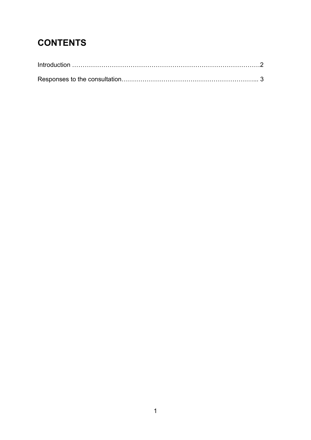### **CONTENTS**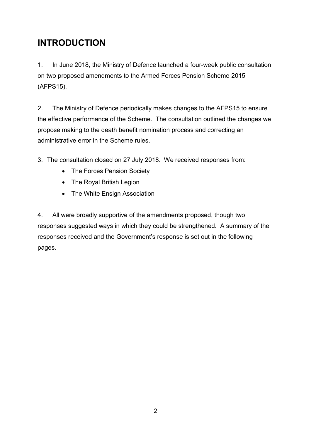#### **INTRODUCTION**

1. In June 2018, the Ministry of Defence launched a four-week public consultation on two proposed amendments to the Armed Forces Pension Scheme 2015 (AFPS15).

2. The Ministry of Defence periodically makes changes to the AFPS15 to ensure the effective performance of the Scheme. The consultation outlined the changes we propose making to the death benefit nomination process and correcting an administrative error in the Scheme rules.

3. The consultation closed on 27 July 2018. We received responses from:

- The Forces Pension Society
- The Royal British Legion
- The White Ensign Association

4. All were broadly supportive of the amendments proposed, though two responses suggested ways in which they could be strengthened. A summary of the responses received and the Government's response is set out in the following pages.